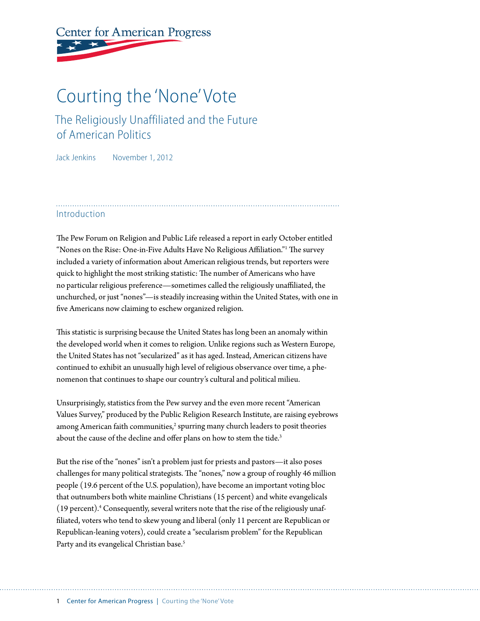# **Center for American Progress**

## Courting the 'None' Vote

## The Religiously Unaffiliated and the Future of American Politics

Jack Jenkins November 1, 2012

#### Introduction

The Pew Forum on Religion and Public Life released a report in early October entitled "Nones on the Rise: One-in-Five Adults Have No Religious Affiliation."1 The survey included a variety of information about American religious trends, but reporters were quick to highlight the most striking statistic: The number of Americans who have no particular religious preference—sometimes called the religiously unaffiliated, the unchurched, or just "nones"—is steadily increasing within the United States, with one in five Americans now claiming to eschew organized religion.

This statistic is surprising because the United States has long been an anomaly within the developed world when it comes to religion. Unlike regions such as Western Europe, the United States has not "secularized" as it has aged. Instead, American citizens have continued to exhibit an unusually high level of religious observance over time, a phenomenon that continues to shape our country's cultural and political milieu.

Unsurprisingly, statistics from the Pew survey and the even more recent "American Values Survey," produced by the Public Religion Research Institute, are raising eyebrows among American faith communities, $^2$  spurring many church leaders to posit theories about the cause of the decline and offer plans on how to stem the tide.<sup>3</sup>

But the rise of the "nones" isn't a problem just for priests and pastors—it also poses challenges for many political strategists. The "nones," now a group of roughly 46 million people (19.6 percent of the U.S. population), have become an important voting bloc that outnumbers both white mainline Christians (15 percent) and white evangelicals (19 percent).<sup>4</sup> Consequently, several writers note that the rise of the religiously unaffiliated, voters who tend to skew young and liberal (only 11 percent are Republican or Republican-leaning voters), could create a "secularism problem" for the Republican Party and its evangelical Christian base.<sup>5</sup>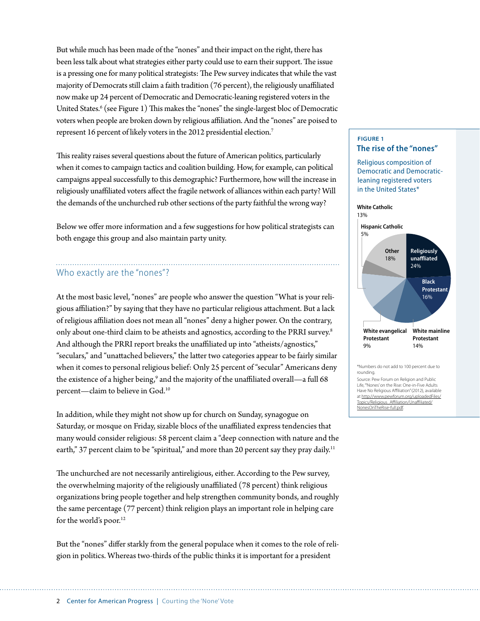But while much has been made of the "nones" and their impact on the right, there has been less talk about what strategies either party could use to earn their support. The issue is a pressing one for many political strategists: The Pew survey indicates that while the vast majority of Democrats still claim a faith tradition (76 percent), the religiously unaffiliated now make up 24 percent of Democratic and Democratic-leaning registered voters in the United States.<sup>6</sup> (see Figure 1) This makes the "nones" the single-largest bloc of Democratic voters when people are broken down by religious affiliation. And the "nones" are poised to represent 16 percent of likely voters in the 2012 presidential election.7

This reality raises several questions about the future of American politics, particularly when it comes to campaign tactics and coalition building. How, for example, can political campaigns appeal successfully to this demographic? Furthermore, how will the increase in religiously unaffiliated voters affect the fragile network of alliances within each party? Will the demands of the unchurched rub other sections of the party faithful the wrong way?

Below we offer more information and a few suggestions for how political strategists can both engage this group and also maintain party unity.

#### Who exactly are the "nones"?

At the most basic level, "nones" are people who answer the question "What is your religious affiliation?" by saying that they have no particular religious attachment. But a lack of religious affiliation does not mean all "nones" deny a higher power. On the contrary, only about one-third claim to be atheists and agnostics, according to the PRRI survey.8 And although the PRRI report breaks the unaffiliated up into "atheists/agnostics," "seculars," and "unattached believers," the latter two categories appear to be fairly similar when it comes to personal religious belief: Only 25 percent of "secular" Americans deny the existence of a higher being, $^9$  and the majority of the unaffiliated overall—a full 68 percent—claim to believe in God.10

In addition, while they might not show up for church on Sunday, synagogue on Saturday, or mosque on Friday, sizable blocs of the unaffiliated express tendencies that many would consider religious: 58 percent claim a "deep connection with nature and the earth," 37 percent claim to be "spiritual," and more than 20 percent say they pray daily.<sup>11</sup>

The unchurched are not necessarily antireligious, either. According to the Pew survey, the overwhelming majority of the religiously unaffiliated (78 percent) think religious organizations bring people together and help strengthen community bonds, and roughly the same percentage (77 percent) think religion plays an important role in helping care for the world's poor.<sup>12</sup>

But the "nones" differ starkly from the general populace when it comes to the role of religion in politics. Whereas two-thirds of the public thinks it is important for a president

#### **FIGURE 1 The rise of the "nones"**

Religious composition of Democratic and Democraticleaning registered voters in the United States\*

#### **White Catholic** 13%



Source: Pew Forum on Religion and Public Life, "'Nones' on the Rise: One-in-Five Adults Have No Religious Affiliation" (2012), available at [http://www.pewforum.org/uploadedFiles/](http://www.pewforum.org/uploadedFiles/Topics/Religious_Affiliation/Unaffiliated/NonesOnTheRise-full.pdf) [Topics/Religious\\_Affiliation/Unaffiliated/](http://www.pewforum.org/uploadedFiles/Topics/Religious_Affiliation/Unaffiliated/NonesOnTheRise-full.pdf) [NonesOnTheRise-full.pdf](http://www.pewforum.org/uploadedFiles/Topics/Religious_Affiliation/Unaffiliated/NonesOnTheRise-full.pdf).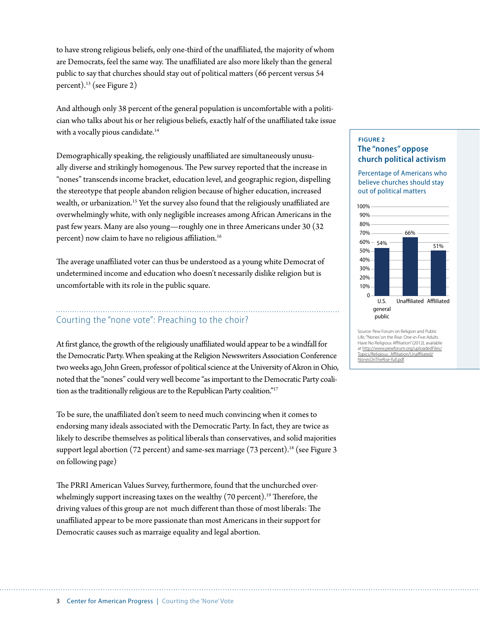to have strong religious beliefs, only one-third of the unaffiliated, the majority of whom are Democrats, feel the same way. The unaffiliated are also more likely than the general public to say that churches should stay out of political matters (66 percent versus 54 percent).13 (see Figure 2)

And although only 38 percent of the general population is uncomfortable with a politician who talks about his or her religious beliefs, exactly half of the unaffiliated take issue with a vocally pious candidate.<sup>14</sup>

Demographically speaking, the religiously unaffiliated are simultaneously unusually diverse and strikingly homogenous. The Pew survey reported that the increase in "nones" transcends income bracket, education level, and geographic region, dispelling the stereotype that people abandon religion because of higher education, increased wealth, or urbanization.<sup>15</sup> Yet the survey also found that the religiously unaffiliated are overwhelmingly white, with only negligible increases among African Americans in the past few years. Many are also young—roughly one in three Americans under 30 (32 percent) now claim to have no religious affiliation.16

The average unaffiliated voter can thus be understood as a young white Democrat of undetermined income and education who doesn't necessarily dislike religion but is uncomfortable with its role in the public square.

## Courting the "none vote": Preaching to the choir?

At first glance, the growth of the religiously unaffiliated would appear to be a windfall for the Democratic Party. When speaking at the Religion Newswriters Association Conference two weeks ago, John Green, professor of political science at the University of Akron in Ohio, noted that the "nones" could very well become "as important to the Democratic Party coalition as the traditionally religious are to the Republican Party coalition."17

To be sure, the unaffiliated don't seem to need much convincing when it comes to endorsing many ideals associated with the Democratic Party. In fact, they are twice as likely to describe themselves as political liberals than conservatives, and solid majorities support legal abortion (72 percent) and same-sex marriage (73 percent).<sup>18</sup> (see Figure 3 on following page)

The PRRI American Values Survey, furthermore, found that the unchurched overwhelmingly support increasing taxes on the wealthy (70 percent).<sup>19</sup> Therefore, the driving values of this group are not much different than those of most liberals: The unaffiliated appear to be more passionate than most Americans in their support for Democratic causes such as marraige equality and legal abortion.

#### **FIGURE 2 The "nones" oppose church political activism**

Percentage of Americans who believe churches should stay out of political matters



Life, "'Nones' on the Rise: One-in-Five Adults Have No Religious Affiliation" (2012), available at [http://www.pewforum.org/uploadedFiles/](http://www.pewforum.org/uploadedFiles/Topics/Religious_Affiliation/Unaffiliated/NonesOnTheRise-full.pdf) [Topics/Religious\\_Affiliation/Unaffiliated/](http://www.pewforum.org/uploadedFiles/Topics/Religious_Affiliation/Unaffiliated/NonesOnTheRise-full.pdf) OnTheRise-full.pdf.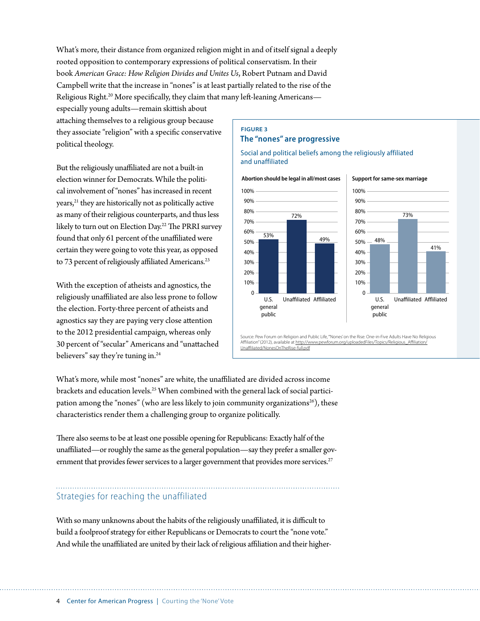What's more, their distance from organized religion might in and of itself signal a deeply rooted opposition to contemporary expressions of political conservatism. In their book *American Grace: How Religion Divides and Unites Us*, Robert Putnam and David Campbell write that the increase in "nones" is at least partially related to the rise of the Religious Right.<sup>20</sup> More specifically, they claim that many left-leaning Americans—

especially young adults—remain skittish about attaching themselves to a religious group because they associate "religion" with a specific conservative political theology.

But the religiously unaffiliated are not a built-in election winner for Democrats. While the political involvement of "nones" has increased in recent years,<sup>21</sup> they are historically not as politically active as many of their religious counterparts, and thus less likely to turn out on Election Day.<sup>22</sup> The PRRI survey found that only 61 percent of the unaffiliated were certain they were going to vote this year, as opposed to 73 percent of religiously affiliated Americans.<sup>23</sup>

With the exception of atheists and agnostics, the religiously unaffiliated are also less prone to follow the election. Forty-three percent of atheists and agnostics say they are paying very close attention to the 2012 presidential campaign, whereas only 30 percent of "secular" Americans and "unattached believers" say they're tuning in.<sup>24</sup>

#### **FIGURE 3 The "nones" are progressive**

Social and political beliefs among the religiously affiliated and unaffiliated



Source: Pew Forum on Religion and Public Life, "'Nones' on the Rise: One-in-Five Adults Have No Religious Affiliation" (2012), available at http://w [Unaffiliated/NonesOnTheRise-full.pdf](http://www.pewforum.org/uploadedFiles/Topics/Religious_Affiliation/Unaffiliated/NonesOnTheRise-full.pdf)

What's more, while most "nones" are white, the unaffiliated are divided across income brackets and education levels.25 When combined with the general lack of social participation among the "nones" (who are less likely to join community organizations<sup>26</sup>), these characteristics render them a challenging group to organize politically.

There also seems to be at least one possible opening for Republicans: Exactly half of the unaffiliated—or roughly the same as the general population—say they prefer a smaller government that provides fewer services to a larger government that provides more services.<sup>27</sup>

#### Strategies for reaching the unaffiliated

With so many unknowns about the habits of the religiously unaffiliated, it is difficult to build a foolproof strategy for either Republicans or Democrats to court the "none vote." And while the unaffiliated are united by their lack of religious affiliation and their higher-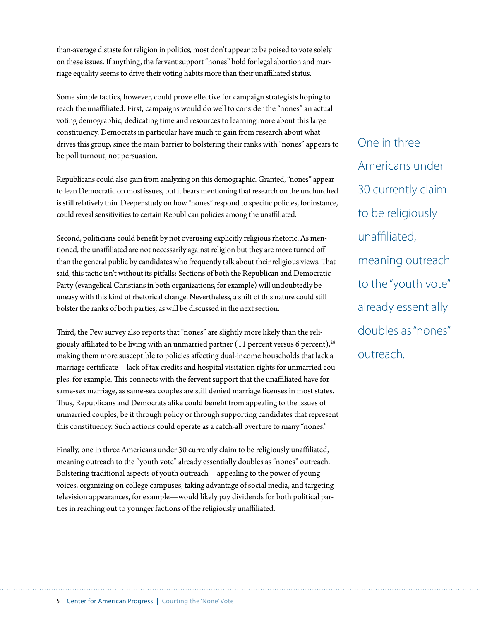than-average distaste for religion in politics, most don't appear to be poised to vote solely on these issues. If anything, the fervent support "nones" hold for legal abortion and marriage equality seems to drive their voting habits more than their unaffiliated status.

Some simple tactics, however, could prove effective for campaign strategists hoping to reach the unaffiliated. First, campaigns would do well to consider the "nones" an actual voting demographic, dedicating time and resources to learning more about this large constituency. Democrats in particular have much to gain from research about what drives this group, since the main barrier to bolstering their ranks with "nones" appears to be poll turnout, not persuasion.

Republicans could also gain from analyzing on this demographic. Granted, "nones" appear to lean Democratic on most issues, but it bears mentioning that research on the unchurched is still relatively thin. Deeper study on how "nones" respond to specific policies, for instance, could reveal sensitivities to certain Republican policies among the unaffiliated.

Second, politicians could benefit by not overusing explicitly religious rhetoric. As mentioned, the unaffiliated are not necessarily against religion but they are more turned off than the general public by candidates who frequently talk about their religious views. That said, this tactic isn't without its pitfalls: Sections of both the Republican and Democratic Party (evangelical Christians in both organizations, for example) will undoubtedly be uneasy with this kind of rhetorical change. Nevertheless, a shift of this nature could still bolster the ranks of both parties, as will be discussed in the next section.

Third, the Pew survey also reports that "nones" are slightly more likely than the religiously affiliated to be living with an unmarried partner (11 percent versus 6 percent),<sup>28</sup> making them more susceptible to policies affecting dual-income households that lack a marriage certificate—lack of tax credits and hospital visitation rights for unmarried couples, for example. This connects with the fervent support that the unaffiliated have for same-sex marriage, as same-sex couples are still denied marriage licenses in most states. Thus, Republicans and Democrats alike could benefit from appealing to the issues of unmarried couples, be it through policy or through supporting candidates that represent this constituency. Such actions could operate as a catch-all overture to many "nones."

Finally, one in three Americans under 30 currently claim to be religiously unaffiliated, meaning outreach to the "youth vote" already essentially doubles as "nones" outreach. Bolstering traditional aspects of youth outreach—appealing to the power of young voices, organizing on college campuses, taking advantage of social media, and targeting television appearances, for example—would likely pay dividends for both political parties in reaching out to younger factions of the religiously unaffiliated.

One in three Americans under 30 currently claim to be religiously unaffiliated, meaning outreach to the "youth vote" already essentially doubles as "nones" outreach.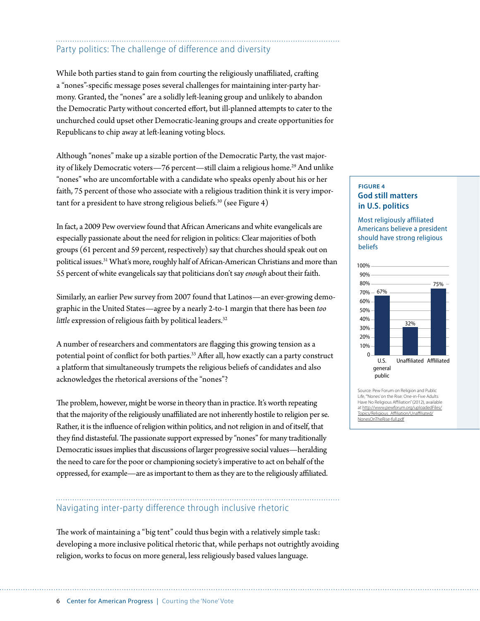## Party politics: The challenge of difference and diversity

While both parties stand to gain from courting the religiously unaffiliated, crafting a "nones"-specific message poses several challenges for maintaining inter-party harmony. Granted, the "nones" are a solidly left-leaning group and unlikely to abandon the Democratic Party without concerted effort, but ill-planned attempts to cater to the unchurched could upset other Democratic-leaning groups and create opportunities for Republicans to chip away at left-leaning voting blocs.

Although "nones" make up a sizable portion of the Democratic Party, the vast majority of likely Democratic voters—76 percent—still claim a religious home.<sup>29</sup> And unlike "nones" who are uncomfortable with a candidate who speaks openly about his or her faith, 75 percent of those who associate with a religious tradition think it is very important for a president to have strong religious beliefs.<sup>30</sup> (see Figure 4)

In fact, a 2009 Pew overview found that African Americans and white evangelicals are especially passionate about the need for religion in politics: Clear majorities of both groups (61 percent and 59 percent, respectively) say that churches should speak out on political issues.<sup>31</sup> What's more, roughly half of African-American Christians and more than 55 percent of white evangelicals say that politicians don't say *enough* about their faith.

Similarly, an earlier Pew survey from 2007 found that Latinos—an ever-growing demographic in the United States—agree by a nearly 2-to-1 margin that there has been *too little* expression of religious faith by political leaders.<sup>32</sup>

A number of researchers and commentators are flagging this growing tension as a potential point of conflict for both parties.<sup>33</sup> After all, how exactly can a party construct a platform that simultaneously trumpets the religious beliefs of candidates and also acknowledges the rhetorical aversions of the "nones"?

The problem, however, might be worse in theory than in practice. It's worth repeating that the majority of the religiously unaffiliated are not inherently hostile to religion per se. Rather, it is the influence of religion within politics, and not religion in and of itself, that they find distasteful. The passionate support expressed by "nones" for many traditionally Democratic issues implies that discussions of larger progressive social values—heralding the need to care for the poor or championing society's imperative to act on behalf of the oppressed, for example—are as important to them as they are to the religiously affiliated.

### Navigating inter-party difference through inclusive rhetoric

The work of maintaining a "big tent" could thus begin with a relatively simple task: developing a more inclusive political rhetoric that, while perhaps not outrightly avoiding religion, works to focus on more general, less religiously based values language.

#### **FIGURE 4 God still matters in U.S. politics**

Most religiously affiliated Americans believe a president should have strong religious beliefs



Source: Pew Forum on Religion and Public Life, "'Nones' on the Rise: One-in-Five Adults Have No Religious Affiliation" (2012), available at [http://www.pewforum.org/uploadedFiles/](http://www.pewforum.org/uploadedFiles/Topics/Religious_Affiliation/Unaffiliated/NonesOnTheRise-full.pdf) hics/Religious\_Affiliation/Unaffiliated/ [NonesOnTheRise-full.pdf](http://www.pewforum.org/uploadedFiles/Topics/Religious_Affiliation/Unaffiliated/NonesOnTheRise-full.pdf)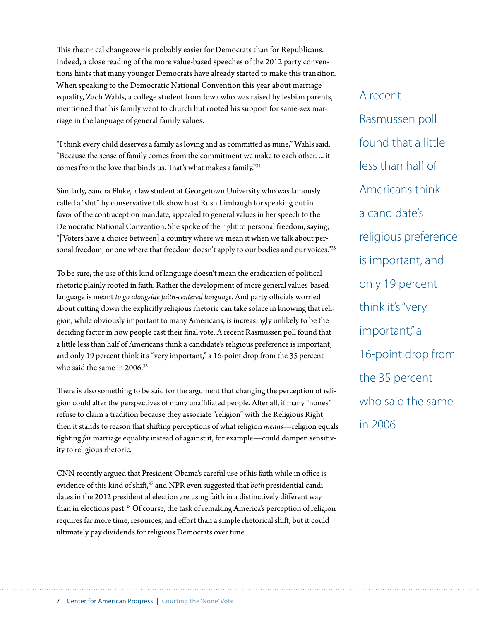This rhetorical changeover is probably easier for Democrats than for Republicans. Indeed, a close reading of the more value-based speeches of the 2012 party conventions hints that many younger Democrats have already started to make this transition. When speaking to the Democratic National Convention this year about marriage equality, Zach Wahls, a college student from Iowa who was raised by lesbian parents, mentioned that his family went to church but rooted his support for same-sex marriage in the language of general family values.

"I think every child deserves a family as loving and as committed as mine," Wahls said. "Because the sense of family comes from the commitment we make to each other. ... it comes from the love that binds us. That's what makes a family."34

Similarly, Sandra Fluke, a law student at Georgetown University who was famously called a "slut" by conservative talk show host Rush Limbaugh for speaking out in favor of the contraception mandate, appealed to general values in her speech to the Democratic National Convention. She spoke of the right to personal freedom, saying, "[Voters have a choice between] a country where we mean it when we talk about personal freedom, or one where that freedom doesn't apply to our bodies and our voices."35

To be sure, the use of this kind of language doesn't mean the eradication of political rhetoric plainly rooted in faith. Rather the development of more general values-based language is meant *to go alongside faith-centered language*. And party officials worried about cutting down the explicitly religious rhetoric can take solace in knowing that religion, while obviously important to many Americans, is increasingly unlikely to be the deciding factor in how people cast their final vote. A recent Rasmussen poll found that a little less than half of Americans think a candidate's religious preference is important, and only 19 percent think it's "very important," a 16-point drop from the 35 percent who said the same in 2006.<sup>36</sup>

There is also something to be said for the argument that changing the perception of religion could alter the perspectives of many unaffiliated people. After all, if many "nones" refuse to claim a tradition because they associate "religion" with the Religious Right, then it stands to reason that shifting perceptions of what religion *means*—religion equals fighting *for* marriage equality instead of against it, for example—could dampen sensitivity to religious rhetoric.

CNN recently argued that President Obama's careful use of his faith while in office is evidence of this kind of shift,<sup>37</sup> and NPR even suggested that *both* presidential candidates in the 2012 presidential election are using faith in a distinctively different way than in elections past.38 Of course, the task of remaking America's perception of religion requires far more time, resources, and effort than a simple rhetorical shift, but it could ultimately pay dividends for religious Democrats over time.

A recent Rasmussen poll found that a little less than half of Americans think a candidate's religious preference is important, and only 19 percent think it's "very important," a 16-point drop from the 35 percent who said the same in 2006.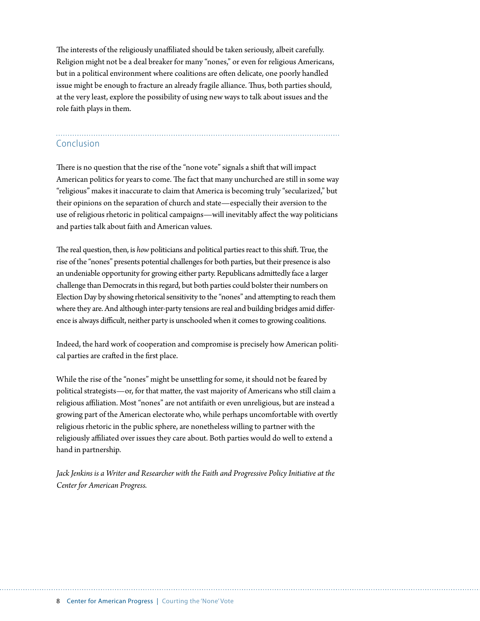The interests of the religiously unaffiliated should be taken seriously, albeit carefully. Religion might not be a deal breaker for many "nones," or even for religious Americans, but in a political environment where coalitions are often delicate, one poorly handled issue might be enough to fracture an already fragile alliance. Thus, both parties should, at the very least, explore the possibility of using new ways to talk about issues and the role faith plays in them.

## Conclusion

There is no question that the rise of the "none vote" signals a shift that will impact American politics for years to come. The fact that many unchurched are still in some way "religious" makes it inaccurate to claim that America is becoming truly "secularized," but their opinions on the separation of church and state—especially their aversion to the use of religious rhetoric in political campaigns—will inevitably affect the way politicians and parties talk about faith and American values.

The real question, then, is *how* politicians and political parties react to this shift. True, the rise of the "nones" presents potential challenges for both parties, but their presence is also an undeniable opportunity for growing either party. Republicans admittedly face a larger challenge than Democrats in this regard, but both parties could bolster their numbers on Election Day by showing rhetorical sensitivity to the "nones" and attempting to reach them where they are. And although inter-party tensions are real and building bridges amid difference is always difficult, neither party is unschooled when it comes to growing coalitions.

Indeed, the hard work of cooperation and compromise is precisely how American political parties are crafted in the first place.

While the rise of the "nones" might be unsettling for some, it should not be feared by political strategists—or, for that matter, the vast majority of Americans who still claim a religious affiliation. Most "nones" are not antifaith or even unreligious, but are instead a growing part of the American electorate who, while perhaps uncomfortable with overtly religious rhetoric in the public sphere, are nonetheless willing to partner with the religiously affiliated over issues they care about. Both parties would do well to extend a hand in partnership.

*Jack Jenkins is a Writer and Researcher with the Faith and Progressive Policy Initiative at the Center for American Progress.*